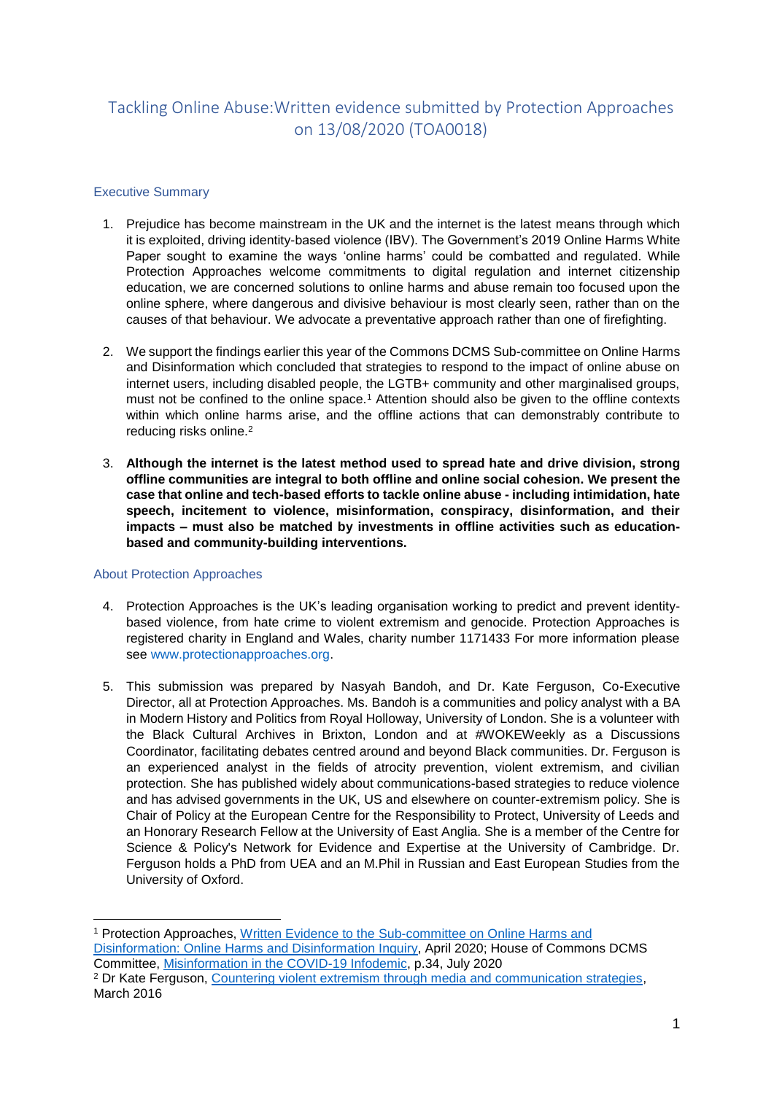# Tackling Online Abuse:Written evidence submitted by Protection Approaches on 13/08/2020 (TOA0018)

# Executive Summary

- 1. Prejudice has become mainstream in the UK and the internet is the latest means through which it is exploited, driving identity-based violence (IBV). The Government's 2019 Online Harms White Paper sought to examine the ways 'online harms' could be combatted and regulated. While Protection Approaches welcome commitments to digital regulation and internet citizenship education, we are concerned solutions to online harms and abuse remain too focused upon the online sphere, where dangerous and divisive behaviour is most clearly seen, rather than on the causes of that behaviour. We advocate a preventative approach rather than one of firefighting.
- 2. We support the findings earlier this year of the Commons DCMS Sub-committee on Online Harms and Disinformation which concluded that strategies to respond to the impact of online abuse on internet users, including disabled people, the LGTB+ community and other marginalised groups, must not be confined to the online space.<sup>1</sup> Attention should also be given to the offline contexts within which online harms arise, and the offline actions that can demonstrably contribute to reducing risks online.<sup>2</sup>
- 3. **Although the internet is the latest method used to spread hate and drive division, strong offline communities are integral to both offline and online social cohesion. We present the case that online and tech-based efforts to tackle online abuse - including intimidation, hate speech, incitement to violence, misinformation, conspiracy, disinformation, and their impacts – must also be matched by investments in offline activities such as educationbased and community-building interventions.**

## About Protection Approaches

- 4. Protection Approaches is the UK's leading organisation working to predict and prevent identitybased violence, from hate crime to violent extremism and genocide. Protection Approaches is registered charity in England and Wales, charity number 1171433 For more information please see [www.protectionapproaches.org.](http://www.protectionapproaches.org/)
- 5. This submission was prepared by Nasyah Bandoh, and Dr. Kate Ferguson, Co-Executive Director, all at Protection Approaches. Ms. Bandoh is a communities and policy analyst with a BA in Modern History and Politics from Royal Holloway, University of London. She is a volunteer with the Black Cultural Archives in Brixton, London and at #WOKEWeekly as a Discussions Coordinator, facilitating debates centred around and beyond Black communities. Dr. Ferguson is an experienced analyst in the fields of atrocity prevention, violent extremism, and civilian protection. She has published widely about communications-based strategies to reduce violence and has advised governments in the UK, US and elsewhere on counter-extremism policy. She is Chair of Policy at the European Centre for the Responsibility to Protect, University of Leeds and an Honorary Research Fellow at the University of East Anglia. She is a member of the Centre for Science & Policy's Network for Evidence and Expertise at the University of Cambridge. Dr. Ferguson holds a PhD from UEA and an M.Phil in Russian and East European Studies from the University of Oxford.

<sup>1</sup> Protection Approaches, [Written Evidence to the Sub-committee on Online Harms and](https://committees.parliament.uk/writtenevidence/2115/pdf/)  [Disinformation: Online Harms and Disinformation Inquiry,](https://committees.parliament.uk/writtenevidence/2115/pdf/) April 2020; House of Commons DCMS Committee, [Misinformation in the COVID-19 Infodemic,](https://committees.parliament.uk/publications/1955/documents/19090/default/) p.34, July 2020 <sup>2</sup> Dr Kate Ferguson, [Countering violent extremism through media and communication strategies,](https://www.paccsresearch.org.uk/wp-content/uploads/2016/03/Countering-Violent-Extremism-Through-Media-and-Communication-Strategies-.pdf) March 2016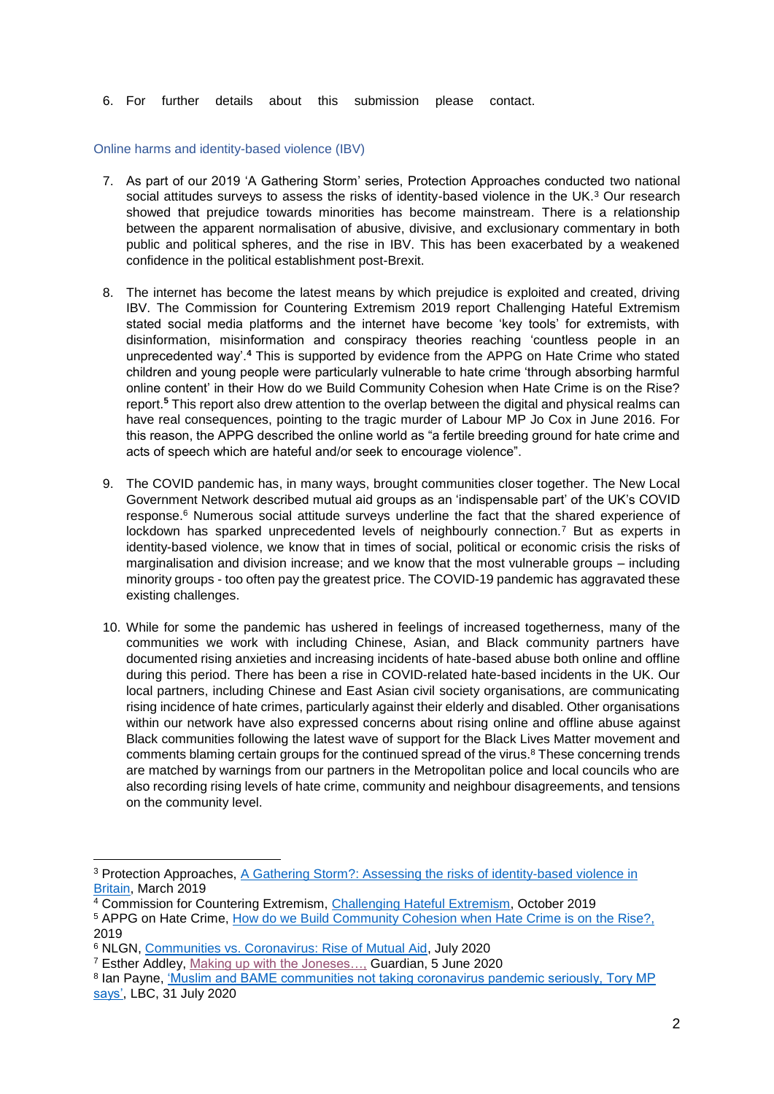6. For further details about this submission please contact.

#### Online harms and identity-based violence (IBV)

- 7. As part of our 2019 'A Gathering Storm' series, Protection Approaches conducted two national social attitudes surveys to assess the risks of identity-based violence in the UK.<sup>3</sup> Our research showed that prejudice towards minorities has become mainstream. There is a relationship between the apparent normalisation of abusive, divisive, and exclusionary commentary in both public and political spheres, and the rise in IBV. This has been exacerbated by a weakened confidence in the political establishment post-Brexit.
- 8. The internet has become the latest means by which prejudice is exploited and created, driving IBV. The Commission for Countering Extremism 2019 report Challenging Hateful Extremism stated social media platforms and the internet have become 'key tools' for extremists, with disinformation, misinformation and conspiracy theories reaching 'countless people in an unprecedented way'.**<sup>4</sup>** This is supported by evidence from the APPG on Hate Crime who stated children and young people were particularly vulnerable to hate crime 'through absorbing harmful online content' in their How do we Build Community Cohesion when Hate Crime is on the Rise? report.**<sup>5</sup>** This report also drew attention to the overlap between the digital and physical realms can have real consequences, pointing to the tragic murder of Labour MP Jo Cox in June 2016. For this reason, the APPG described the online world as "a fertile breeding ground for hate crime and acts of speech which are hateful and/or seek to encourage violence".
- 9. The COVID pandemic has, in many ways, brought communities closer together. The New Local Government Network described mutual aid groups as an 'indispensable part' of the UK's COVID response.<sup>6</sup> Numerous social attitude surveys underline the fact that the shared experience of lockdown has sparked unprecedented levels of neighbourly connection.<sup>7</sup> But as experts in identity-based violence, we know that in times of social, political or economic crisis the risks of marginalisation and division increase; and we know that the most vulnerable groups – including minority groups - too often pay the greatest price. The COVID-19 pandemic has aggravated these existing challenges.
- 10. While for some the pandemic has ushered in feelings of increased togetherness, many of the communities we work with including Chinese, Asian, and Black community partners have documented rising anxieties and increasing incidents of hate-based abuse both online and offline during this period. There has been a rise in COVID-related hate-based incidents in the UK. Our local partners, including Chinese and East Asian civil society organisations, are communicating rising incidence of hate crimes, particularly against their elderly and disabled. Other organisations within our network have also expressed concerns about rising online and offline abuse against Black communities following the latest wave of support for the Black Lives Matter movement and comments blaming certain groups for the continued spread of the virus.<sup>8</sup> These concerning trends are matched by warnings from our partners in the Metropolitan police and local councils who are also recording rising levels of hate crime, community and neighbour disagreements, and tensions on the community level.

<sup>3</sup> Protection Approaches, [A Gathering Storm?: Assessing the risks of identity-based violence in](https://img1.wsimg.com/blobby/go/131c96cc-7e6f-4c06-ae37-6550dbd85dde/downloads/A%20Gathering%20Storm%20Assessing%20risks%20of%20identity-.pdf?ver=1587986142480)  [Britain,](https://img1.wsimg.com/blobby/go/131c96cc-7e6f-4c06-ae37-6550dbd85dde/downloads/A%20Gathering%20Storm%20Assessing%20risks%20of%20identity-.pdf?ver=1587986142480) March 2019

<sup>4</sup> Commission for Countering Extremism, [Challenging Hateful Extremism,](https://assets.publishing.service.gov.uk/government/uploads/system/uploads/attachment_data/file/836538/Challenging_Hateful_Extremism_report.pdf) October 2019

<sup>5</sup> APPG on Hate Crime, [How do we Build Community Cohesion when Hate Crime is on the Rise?,](http://www.appghatecrime.org/wp-content/uploads/2019/02/APPG%20on%20Hate%20Crime%20Report%20Hate%20Crime%20and%20Community%20Cohesion.pdf) 2019

<sup>6</sup> NLGN, [Communities vs. Coronavirus: Rise of Mutual Aid,](http://www.nlgn.org.uk/public/wp-content/uploads/Communities-Vs-Corona-Virus-The-Rise-of-Mutual-Aid.pdf) July 2020

<sup>7</sup> Esther Addley, [Making up with the Joneses…,](https://www.theguardian.com/world/2020/jun/05/neighbourliness-to-the-fore-its-been-the-highlight-of-our-lockdown) Guardian, 5 June 2020

<sup>&</sup>lt;sup>8</sup> Ian Payne, 'Muslim and BAME communities not taking coronavirus pandemic seriously, Tory MP [says',](https://www.lbc.co.uk/radio/presenters/ian-payne/muslim-bame-communities-coronavirus-pandemic/) LBC, 31 July 2020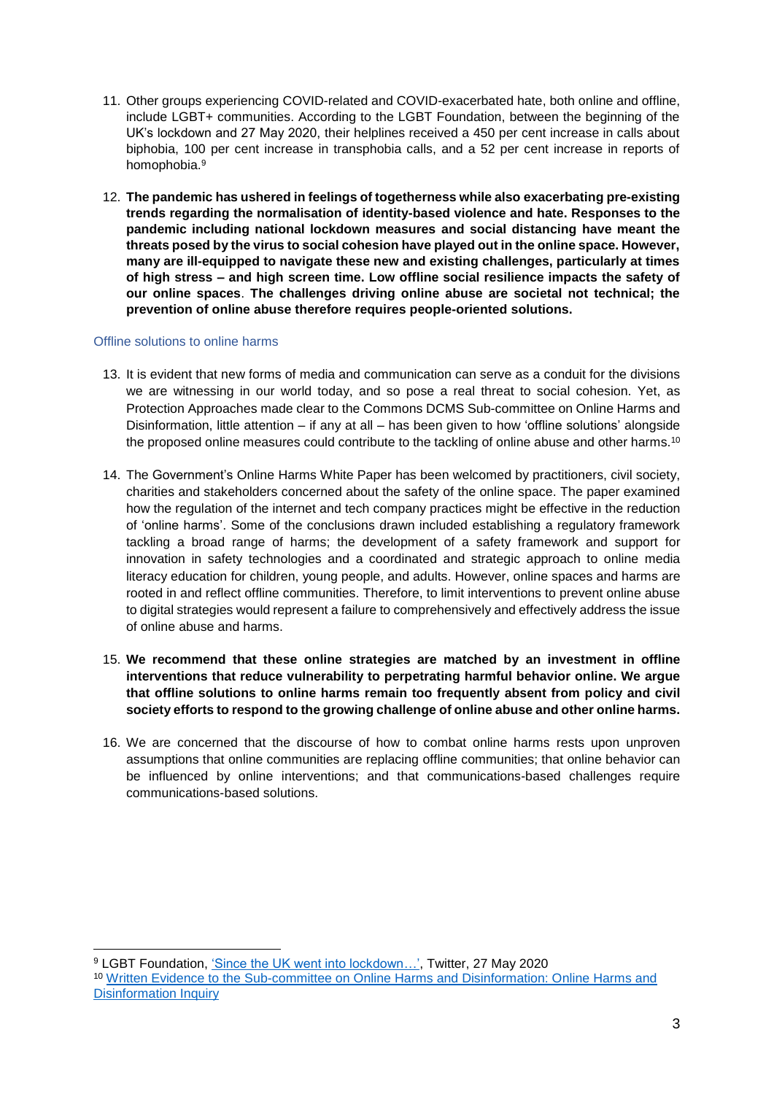- 11. Other groups experiencing COVID-related and COVID-exacerbated hate, both online and offline, include LGBT+ communities. According to the LGBT Foundation, between the beginning of the UK's lockdown and 27 May 2020, their helplines received a 450 per cent increase in calls about biphobia, 100 per cent increase in transphobia calls, and a 52 per cent increase in reports of homophobia. 9
- 12. **The pandemic has ushered in feelings of togetherness while also exacerbating pre-existing trends regarding the normalisation of identity-based violence and hate. Responses to the pandemic including national lockdown measures and social distancing have meant the threats posed by the virus to social cohesion have played out in the online space. However, many are ill-equipped to navigate these new and existing challenges, particularly at times of high stress – and high screen time. Low offline social resilience impacts the safety of our online spaces**. **The challenges driving online abuse are societal not technical; the prevention of online abuse therefore requires people-oriented solutions.**

## Offline solutions to online harms

-

- 13. It is evident that new forms of media and communication can serve as a conduit for the divisions we are witnessing in our world today, and so pose a real threat to social cohesion. Yet, as Protection Approaches made clear to the Commons DCMS Sub-committee on Online Harms and Disinformation, little attention – if any at all – has been given to how 'offline solutions' alongside the proposed online measures could contribute to the tackling of online abuse and other harms.<sup>10</sup>
- 14. The Government's Online Harms White Paper has been welcomed by practitioners, civil society, charities and stakeholders concerned about the safety of the online space. The paper examined how the regulation of the internet and tech company practices might be effective in the reduction of 'online harms'. Some of the conclusions drawn included establishing a regulatory framework tackling a broad range of harms; the development of a safety framework and support for innovation in safety technologies and a coordinated and strategic approach to online media literacy education for children, young people, and adults. However, online spaces and harms are rooted in and reflect offline communities. Therefore, to limit interventions to prevent online abuse to digital strategies would represent a failure to comprehensively and effectively address the issue of online abuse and harms.
- 15. **We recommend that these online strategies are matched by an investment in offline interventions that reduce vulnerability to perpetrating harmful behavior online. We argue that offline solutions to online harms remain too frequently absent from policy and civil society efforts to respond to the growing challenge of online abuse and other online harms.**
- 16. We are concerned that the discourse of how to combat online harms rests upon unproven assumptions that online communities are replacing offline communities; that online behavior can be influenced by online interventions; and that communications-based challenges require communications-based solutions.

<sup>9</sup> LGBT Foundation, ['Since the UK went into lockdown…',](https://twitter.com/LGBTfdn/status/1265583719601111040) Twitter, 27 May 2020 <sup>10</sup> [Written Evidence to the Sub-committee on Online Harms and Disinformation: Online Harms and](https://committees.parliament.uk/writtenevidence/2115/pdf/)  [Disinformation Inquiry](https://committees.parliament.uk/writtenevidence/2115/pdf/)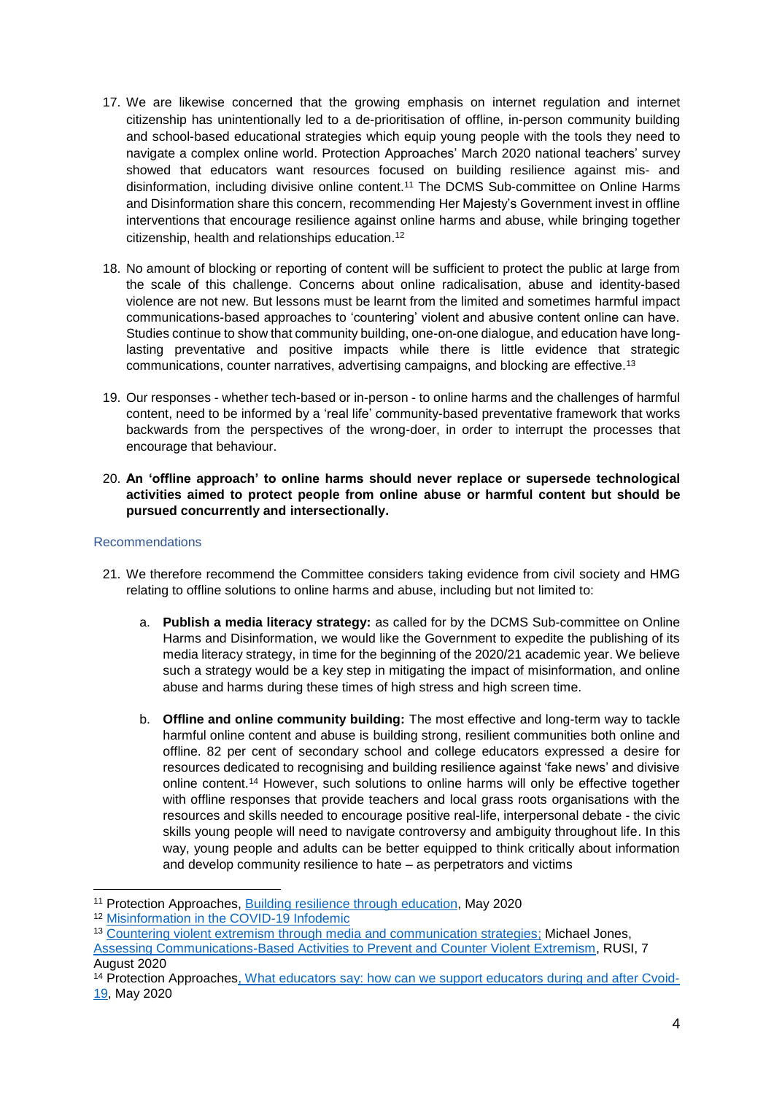- 17. We are likewise concerned that the growing emphasis on internet regulation and internet citizenship has unintentionally led to a de-prioritisation of offline, in-person community building and school-based educational strategies which equip young people with the tools they need to navigate a complex online world. Protection Approaches' March 2020 national teachers' survey showed that educators want resources focused on building resilience against mis- and disinformation, including divisive online content. <sup>11</sup> The DCMS Sub-committee on Online Harms and Disinformation share this concern, recommending Her Majesty's Government invest in offline interventions that encourage resilience against online harms and abuse, while bringing together citizenship, health and relationships education. 12
- 18. No amount of blocking or reporting of content will be sufficient to protect the public at large from the scale of this challenge. Concerns about online radicalisation, abuse and identity-based violence are not new. But lessons must be learnt from the limited and sometimes harmful impact communications-based approaches to 'countering' violent and abusive content online can have. Studies continue to show that community building, one-on-one dialogue, and education have longlasting preventative and positive impacts while there is little evidence that strategic communications, counter narratives, advertising campaigns, and blocking are effective.<sup>13</sup>
- 19. Our responses whether tech-based or in-person to online harms and the challenges of harmful content, need to be informed by a 'real life' community-based preventative framework that works backwards from the perspectives of the wrong-doer, in order to interrupt the processes that encourage that behaviour.
- 20. **An 'offline approach' to online harms should never replace or supersede technological activities aimed to protect people from online abuse or harmful content but should be pursued concurrently and intersectionally.**

## Recommendations

-

- 21. We therefore recommend the Committee considers taking evidence from civil society and HMG relating to offline solutions to online harms and abuse, including but not limited to:
	- a. **Publish a media literacy strategy:** as called for by the DCMS Sub-committee on Online Harms and Disinformation, we would like the Government to expedite the publishing of its media literacy strategy, in time for the beginning of the 2020/21 academic year. We believe such a strategy would be a key step in mitigating the impact of misinformation, and online abuse and harms during these times of high stress and high screen time.
	- b. **Offline and online community building:** The most effective and long-term way to tackle harmful online content and abuse is building strong, resilient communities both online and offline. 82 per cent of secondary school and college educators expressed a desire for resources dedicated to recognising and building resilience against 'fake news' and divisive online content.<sup>14</sup> However, such solutions to online harms will only be effective together with offline responses that provide teachers and local grass roots organisations with the resources and skills needed to encourage positive real-life, interpersonal debate - the civic skills young people will need to navigate controversy and ambiguity throughout life. In this way, young people and adults can be better equipped to think critically about information and develop community resilience to hate – as perpetrators and victims

<sup>11</sup> Protection Approaches, [Building resilience through education,](https://img1.wsimg.com/blobby/go/131c96cc-7e6f-4c06-ae37-6550dbd85dde/downloads/Building%20resilience%20through%20education%20FINAL.pdf) May 2020

<sup>12</sup> [Misinformation in the COVID-19 Infodemic](https://committees.parliament.uk/publications/1955/documents/19090/default/)

<sup>&</sup>lt;sup>13</sup> [Countering violent extremism through media and communication strategies;](https://www.paccsresearch.org.uk/wp-content/uploads/2016/03/Countering-Violent-Extremism-Through-Media-and-Communication-Strategies-.pdf) Michael Jones, [Assessing Communications-Based Activities to Prevent and Counter Violent Extremism,](https://www.rusi.org/commentary/assessing-communications-based-activities-prevent-and-counter-violent-extremism) RUSI, 7 August 2020

<sup>&</sup>lt;sup>14</sup> Protection Approache[s, What educators say: how can we support educators during and after Cvoid-](https://my.visme.co/projects/1jro4zp8-covid-19-and-education)[19,](https://my.visme.co/projects/1jro4zp8-covid-19-and-education) May 2020